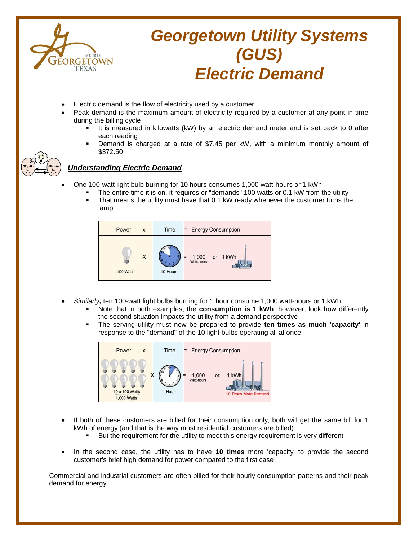

# *Georgetown Utility Systems (GUS) Electric Demand*

- Electric demand is the flow of electricity used by a customer
- Peak demand is the maximum amount of electricity required by a customer at any point in time during the billing cycle
	- It is measured in kilowatts (kW) by an electric demand meter and is set back to 0 after each reading
	- Demand is charged at a rate of \$7.45 per kW, with a minimum monthly amount of \$372.50



## *Understanding Electric Demand*

- One 100-watt light bulb burning for 10 hours consumes 1,000 watt-hours or 1 kWh
	- The entire time it is on, it requires or "demands" 100 watts or 0.1 kW from the utility
	- That means the utility must have that 0.1 kW ready whenever the customer turns the lamp



- *Similarly,* ten 100-watt light bulbs burning for 1 hour consume 1,000 watt-hours or 1 kWh
	- Note that in both examples, the **consumption is 1 kWh**, however, look how differently the second situation impacts the utility from a demand perspective
	- The serving utility must now be prepared to provide **ten times as much 'capacity'** in response to the "demand" of the 10 light bulbs operating all at once



- If both of these customers are billed for their consumption only, both will get the same bill for 1 kWh of energy (and that is the way most residential customers are billed)
	- But the requirement for the utility to meet this energy requirement is very different
- In the second case, the utility has to have **10 times** more 'capacity' to provide the second customer's brief high demand for power compared to the first case

Commercial and industrial customers are often billed for their hourly consumption patterns and their peak demand for energy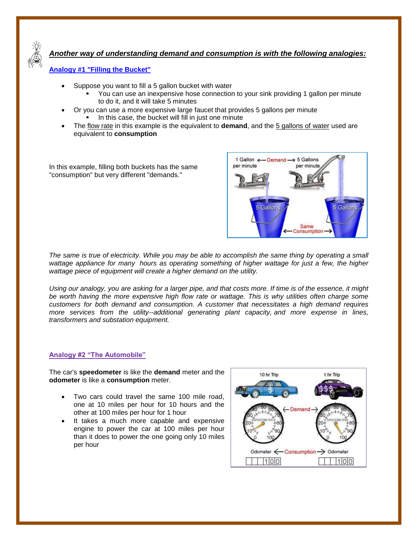

# *Another way of understanding demand and consumption is with the following analogies:*

### **Analogy #1 "Filling the Bucket"**

- Suppose you want to fill a 5 gallon bucket with water
	- You can use an inexpensive hose connection to your sink providing 1 gallon per minute to do it, and it will take 5 minutes
- Or you can use a more expensive large faucet that provides 5 gallons per minute
	- In this case, the bucket will fill in just one minute
- The flow rate in this example is the equivalent to **demand**, and the 5 gallons of water used are equivalent to **consumption**

In this example, filling both buckets has the same "consumption" but very different "demands."



*The same is true of electricity. While you may be able to accomplish the same thing by operating a small wattage appliance for many hours as operating something of higher wattage for just a few, the higher wattage piece of equipment will create a higher demand on the utility.* 

*Using our analogy, you are asking for a larger pipe, and that costs more. If time is of the essence, it might be worth having the more expensive high flow rate or wattage. This is why utilities often charge some customers for both demand and consumption. A customer that necessitates a high demand requires more services from the utility--additional generating plant capacity, and more expense in lines, transformers and substation equipment.* 

#### **Analogy #2 "The Automobile"**

The car's **speedometer** is like the **demand** meter and the **odometer** is like a **consumption** meter.

- Two cars could travel the same 100 mile road, one at 10 miles per hour for 10 hours and the other at 100 miles per hour for 1 hour
- It takes a much more capable and expensive engine to power the car at 100 miles per hour than it does to power the one going only 10 miles per hour